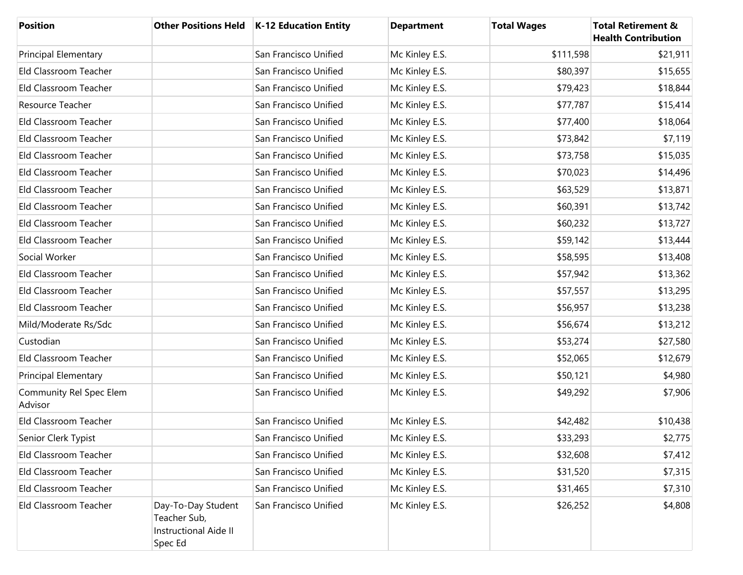| <b>Position</b>                    |                                                                               | Other Positions Held   K-12 Education Entity | <b>Department</b> | <b>Total Wages</b> | <b>Total Retirement &amp;</b><br><b>Health Contribution</b> |
|------------------------------------|-------------------------------------------------------------------------------|----------------------------------------------|-------------------|--------------------|-------------------------------------------------------------|
| <b>Principal Elementary</b>        |                                                                               | San Francisco Unified                        | Mc Kinley E.S.    | \$111,598          | \$21,911                                                    |
| Eld Classroom Teacher              |                                                                               | San Francisco Unified                        | Mc Kinley E.S.    | \$80,397           | \$15,655                                                    |
| Eld Classroom Teacher              |                                                                               | San Francisco Unified                        | Mc Kinley E.S.    | \$79,423           | \$18,844                                                    |
| Resource Teacher                   |                                                                               | San Francisco Unified                        | Mc Kinley E.S.    | \$77,787           | \$15,414                                                    |
| Eld Classroom Teacher              |                                                                               | San Francisco Unified                        | Mc Kinley E.S.    | \$77,400           | \$18,064                                                    |
| Eld Classroom Teacher              |                                                                               | San Francisco Unified                        | Mc Kinley E.S.    | \$73,842           | \$7,119                                                     |
| Eld Classroom Teacher              |                                                                               | San Francisco Unified                        | Mc Kinley E.S.    | \$73,758           | \$15,035                                                    |
| Eld Classroom Teacher              |                                                                               | San Francisco Unified                        | Mc Kinley E.S.    | \$70,023           | \$14,496                                                    |
| Eld Classroom Teacher              |                                                                               | San Francisco Unified                        | Mc Kinley E.S.    | \$63,529           | \$13,871                                                    |
| Eld Classroom Teacher              |                                                                               | San Francisco Unified                        | Mc Kinley E.S.    | \$60,391           | \$13,742                                                    |
| Eld Classroom Teacher              |                                                                               | San Francisco Unified                        | Mc Kinley E.S.    | \$60,232           | \$13,727                                                    |
| Eld Classroom Teacher              |                                                                               | San Francisco Unified                        | Mc Kinley E.S.    | \$59,142           | \$13,444                                                    |
| Social Worker                      |                                                                               | San Francisco Unified                        | Mc Kinley E.S.    | \$58,595           | \$13,408                                                    |
| Eld Classroom Teacher              |                                                                               | San Francisco Unified                        | Mc Kinley E.S.    | \$57,942           | \$13,362                                                    |
| Eld Classroom Teacher              |                                                                               | San Francisco Unified                        | Mc Kinley E.S.    | \$57,557           | \$13,295                                                    |
| Eld Classroom Teacher              |                                                                               | San Francisco Unified                        | Mc Kinley E.S.    | \$56,957           | \$13,238                                                    |
| Mild/Moderate Rs/Sdc               |                                                                               | San Francisco Unified                        | Mc Kinley E.S.    | \$56,674           | \$13,212                                                    |
| Custodian                          |                                                                               | San Francisco Unified                        | Mc Kinley E.S.    | \$53,274           | \$27,580                                                    |
| Eld Classroom Teacher              |                                                                               | San Francisco Unified                        | Mc Kinley E.S.    | \$52,065           | \$12,679                                                    |
| <b>Principal Elementary</b>        |                                                                               | San Francisco Unified                        | Mc Kinley E.S.    | \$50,121           | \$4,980                                                     |
| Community Rel Spec Elem<br>Advisor |                                                                               | San Francisco Unified                        | Mc Kinley E.S.    | \$49,292           | \$7,906                                                     |
| Eld Classroom Teacher              |                                                                               | San Francisco Unified                        | Mc Kinley E.S.    | \$42,482           | \$10,438                                                    |
| Senior Clerk Typist                |                                                                               | San Francisco Unified                        | Mc Kinley E.S.    | \$33,293           | \$2,775                                                     |
| Eld Classroom Teacher              |                                                                               | San Francisco Unified                        | Mc Kinley E.S.    | \$32,608           | \$7,412                                                     |
| Eld Classroom Teacher              |                                                                               | San Francisco Unified                        | Mc Kinley E.S.    | \$31,520           | \$7,315                                                     |
| Eld Classroom Teacher              |                                                                               | San Francisco Unified                        | Mc Kinley E.S.    | \$31,465           | \$7,310                                                     |
| Eld Classroom Teacher              | Day-To-Day Student<br>Teacher Sub,<br><b>Instructional Aide II</b><br>Spec Ed | San Francisco Unified                        | Mc Kinley E.S.    | \$26,252           | \$4,808                                                     |